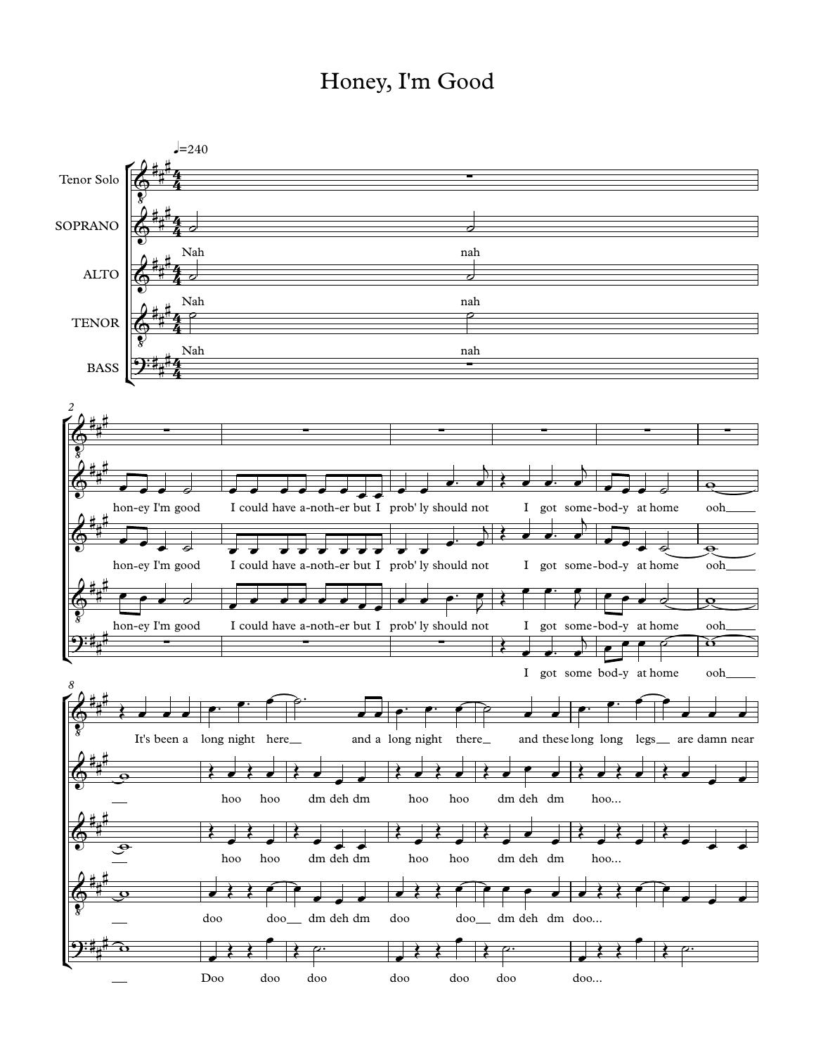## Honey, I'm Good

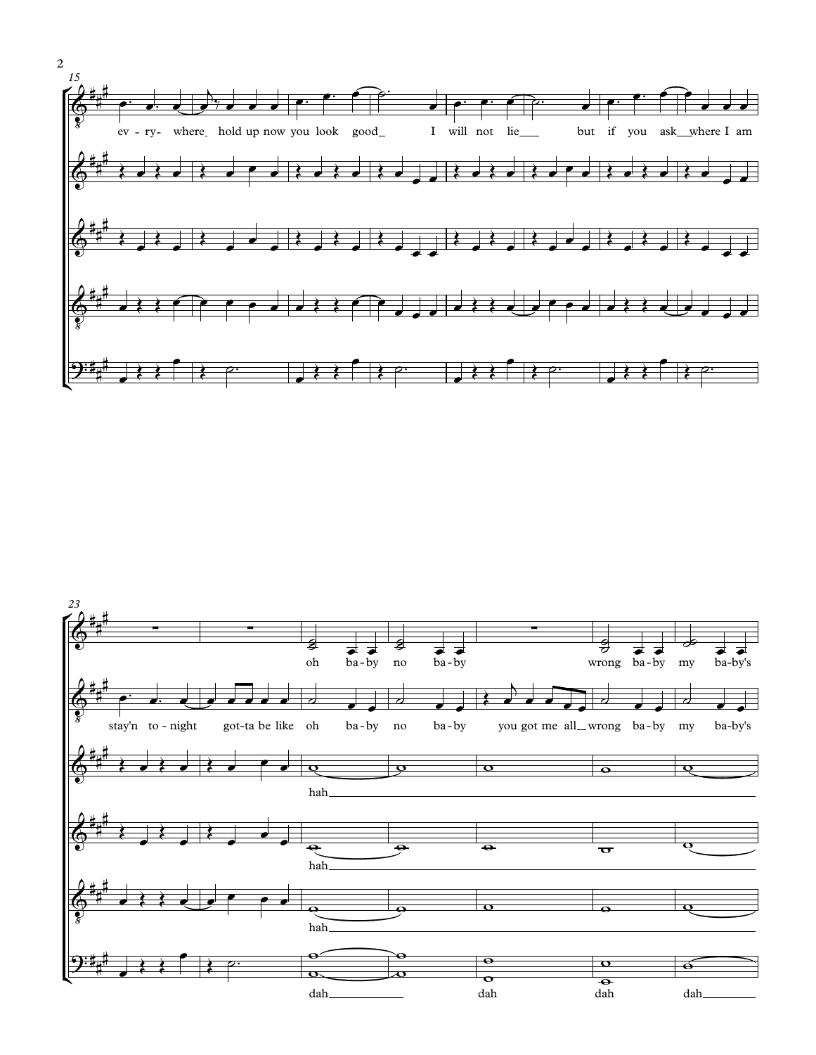

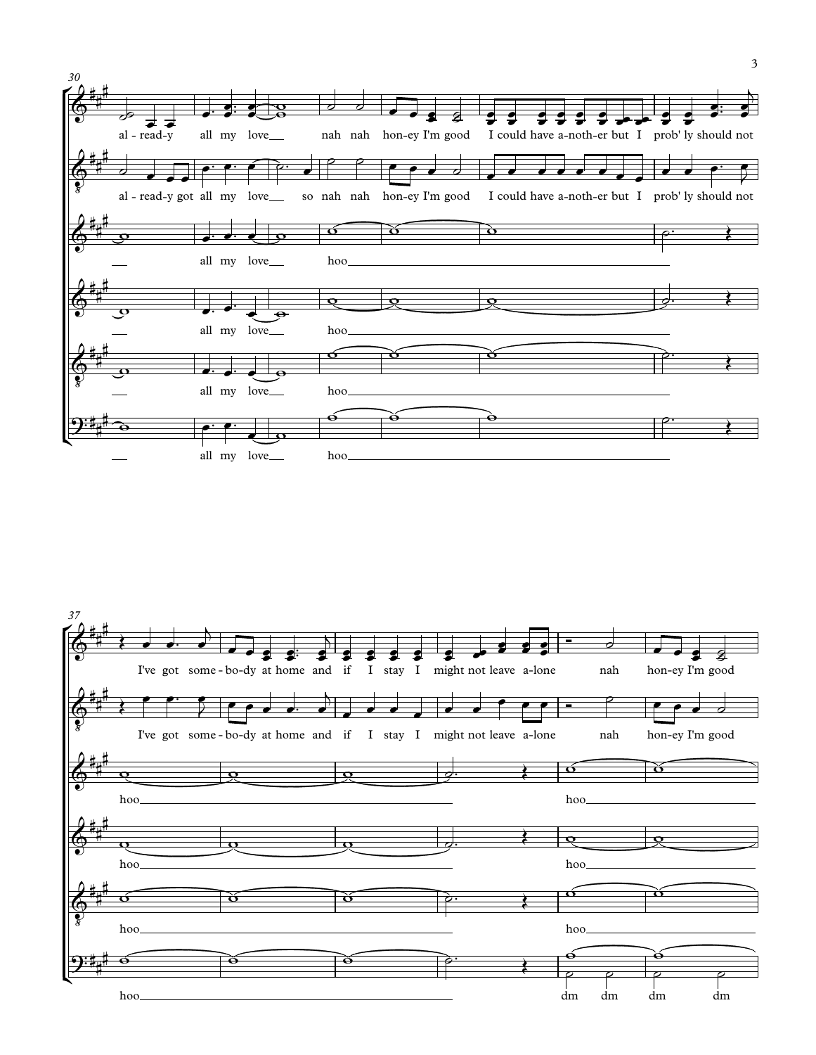

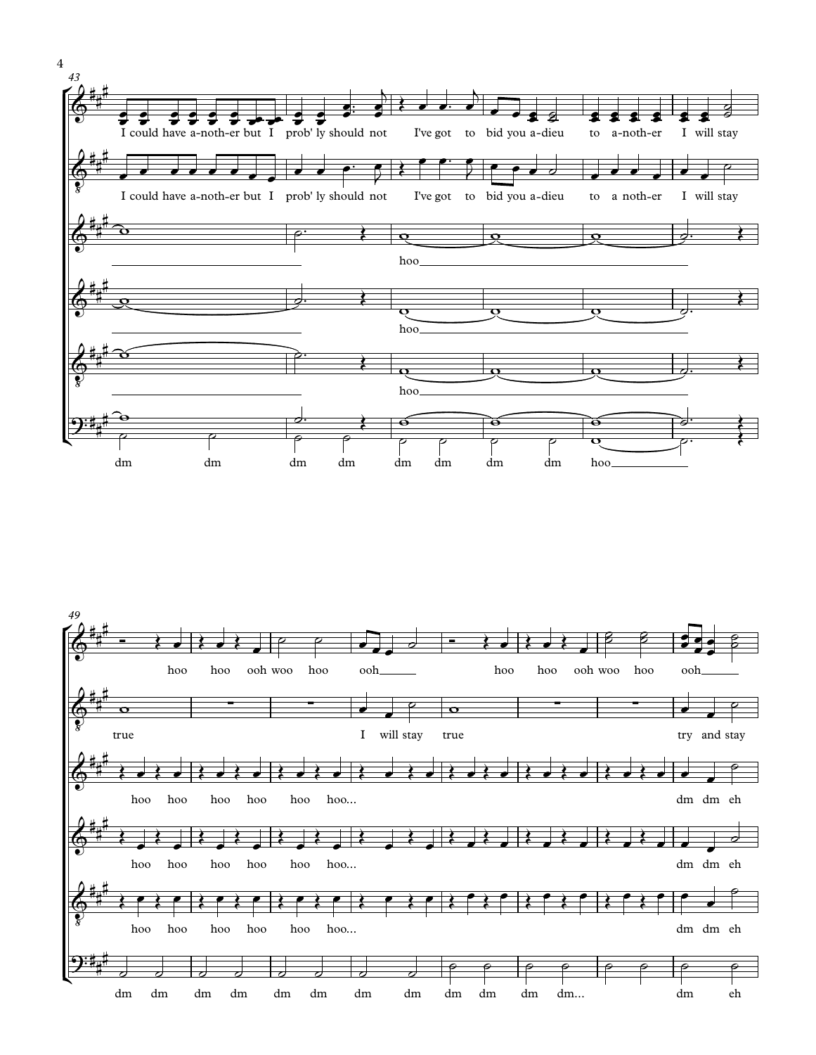

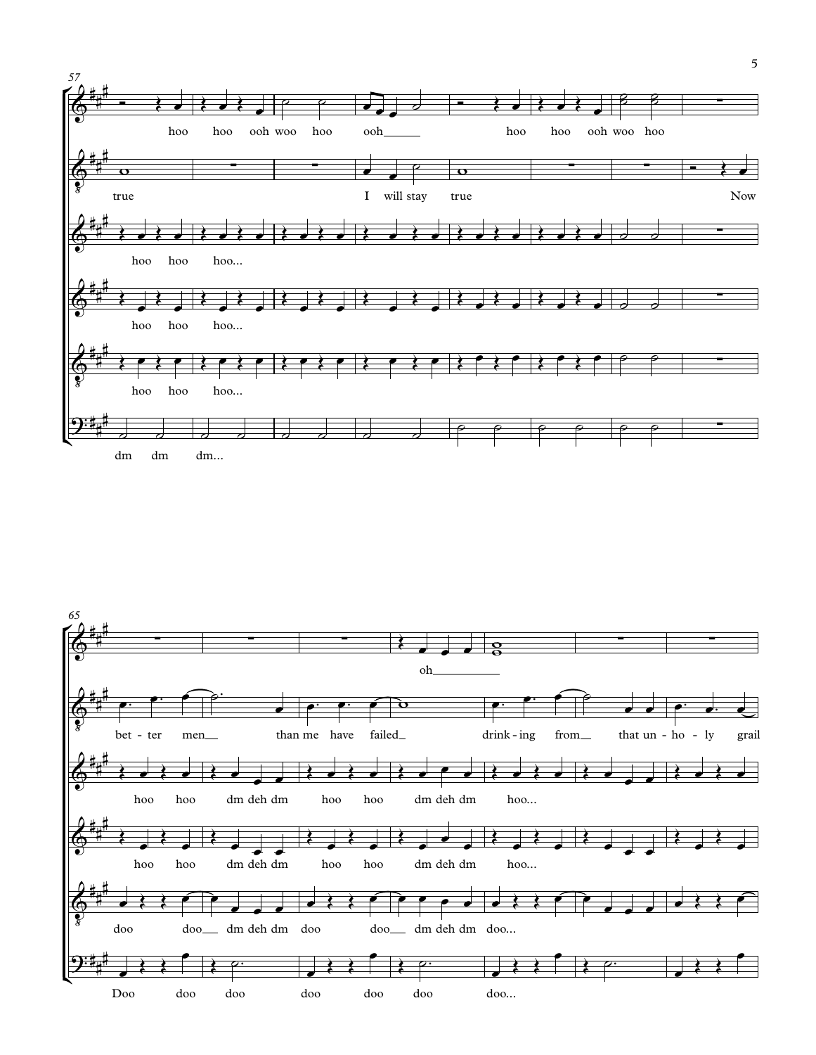

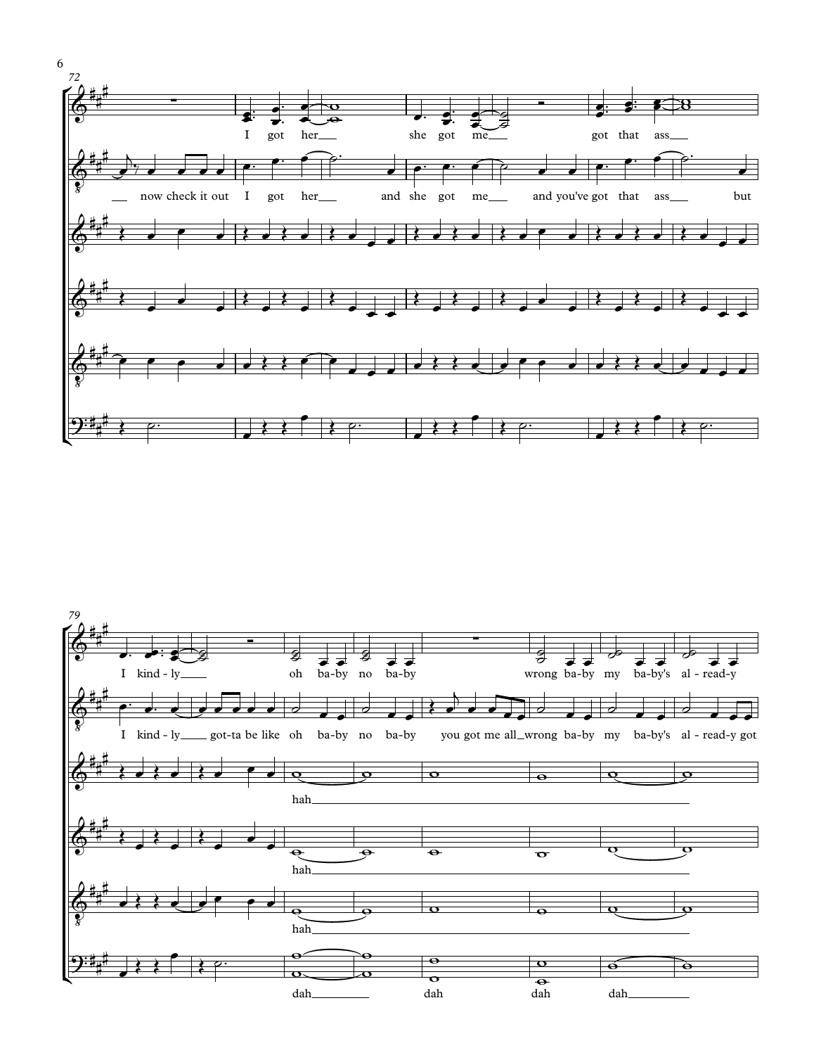



 $\sqrt{6}$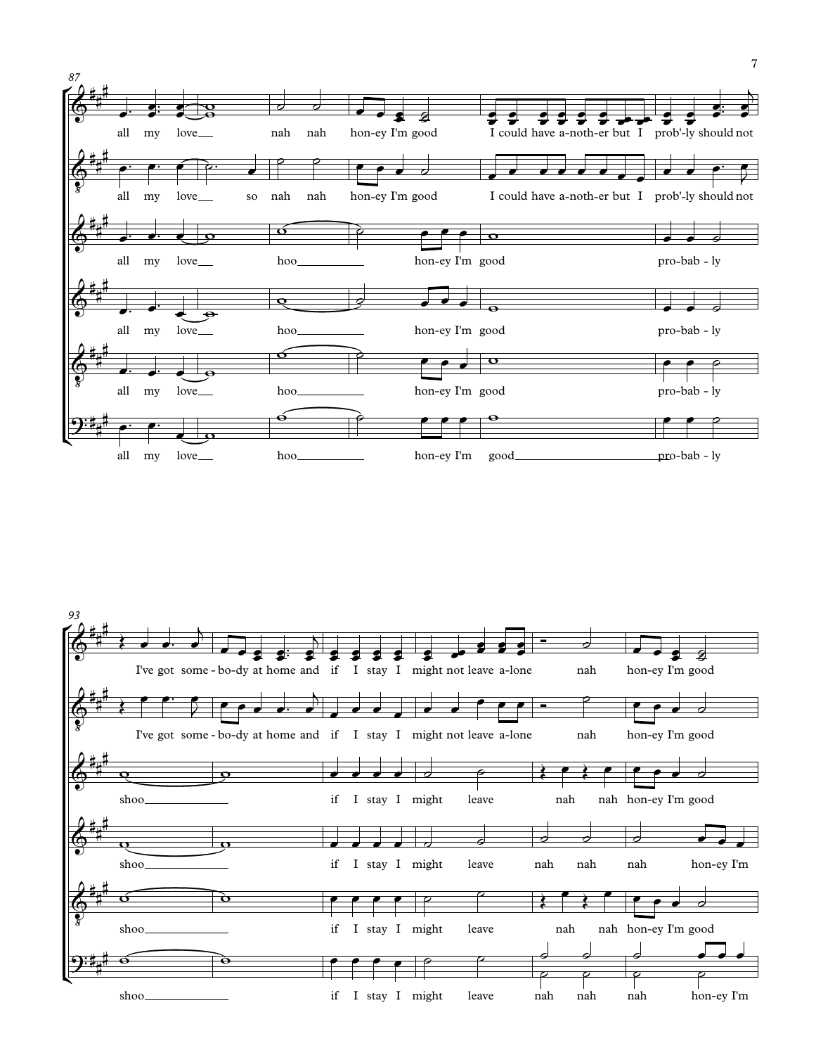

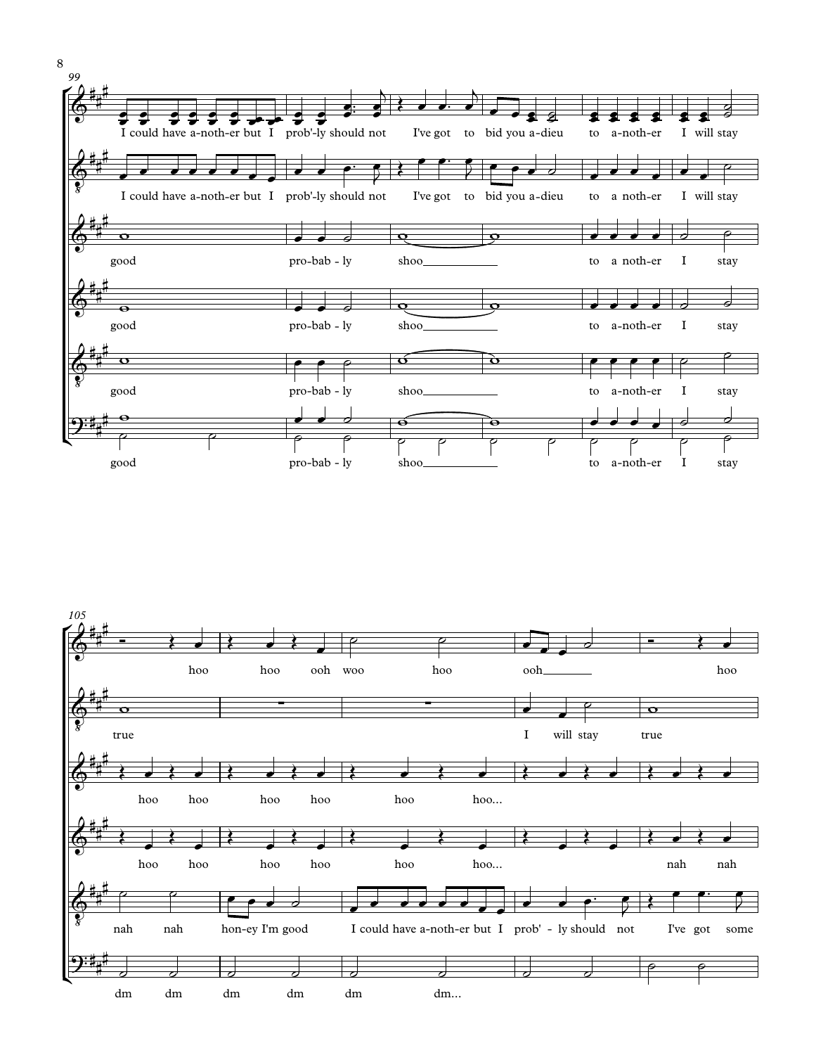

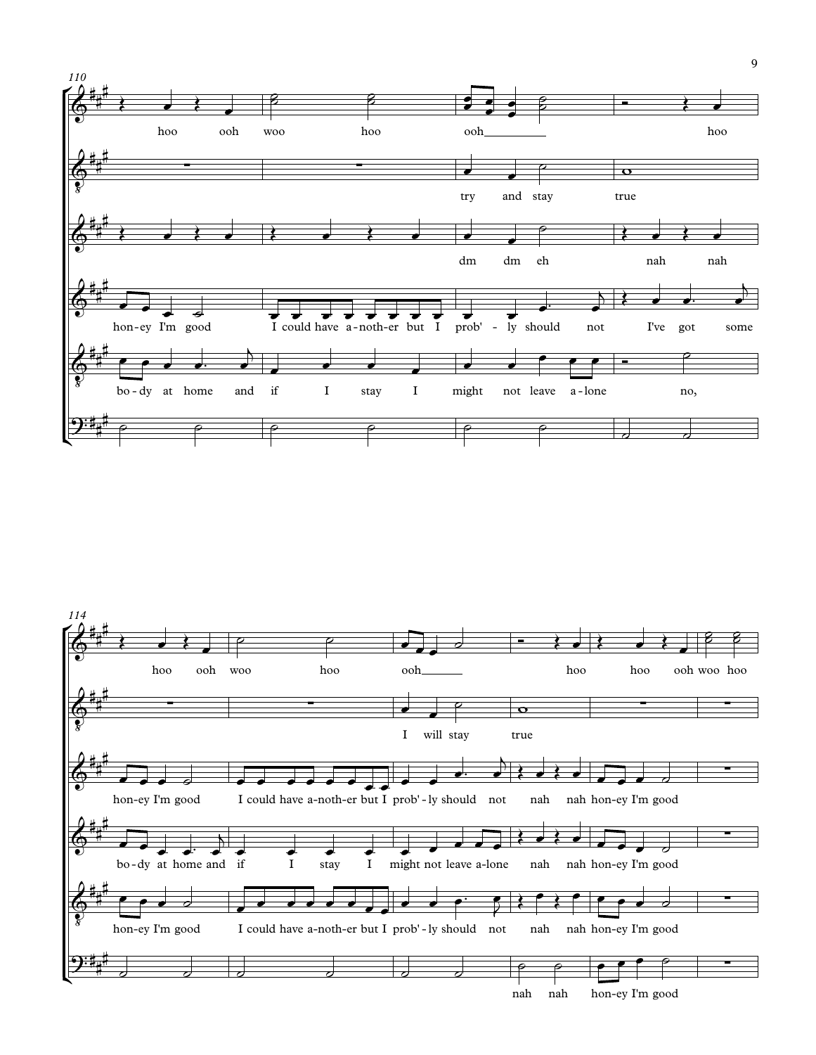

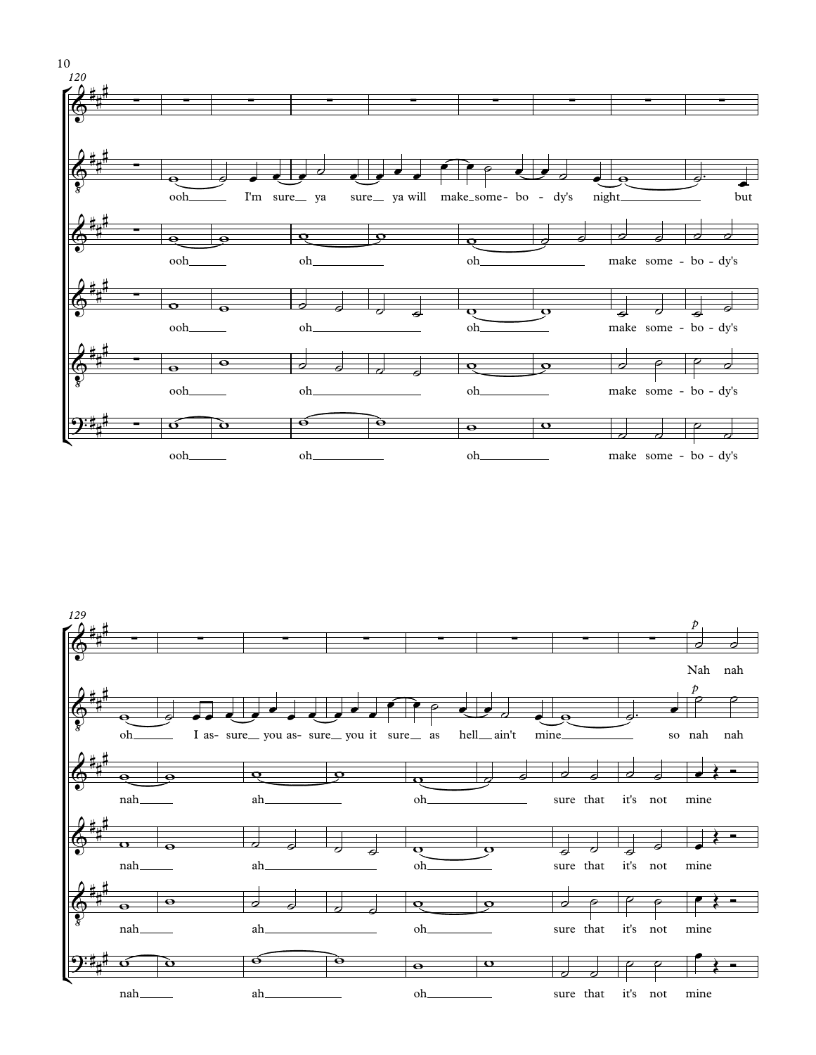

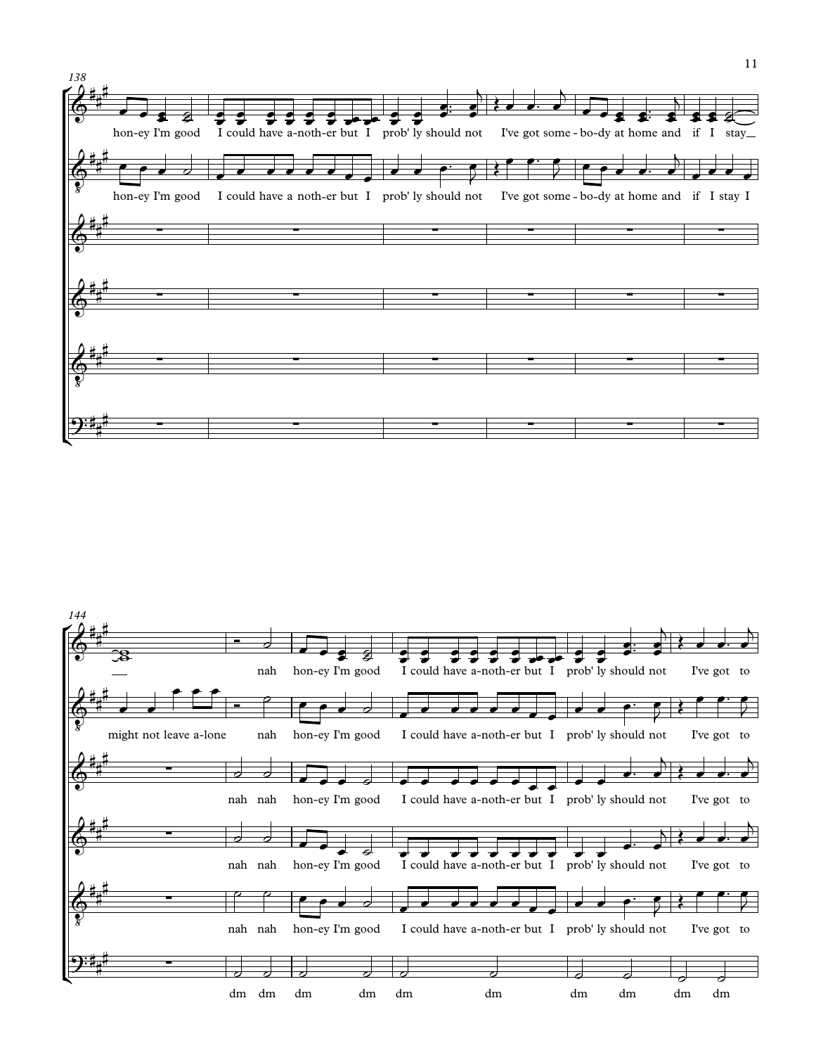

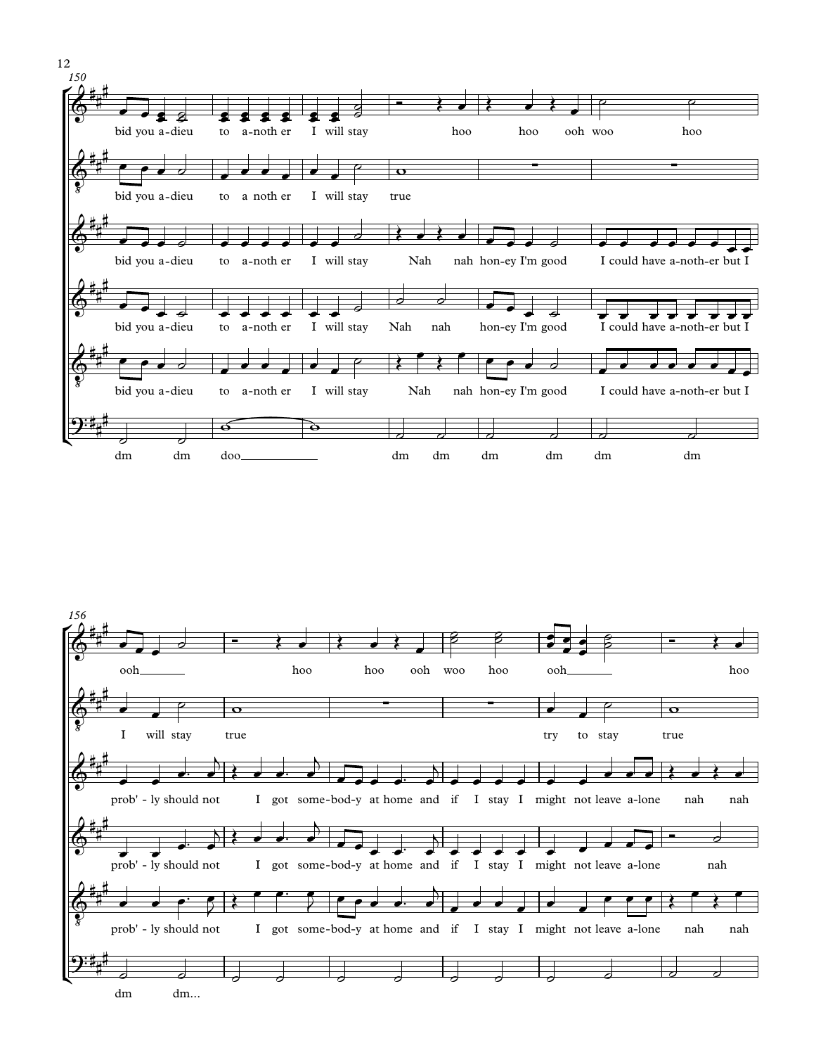